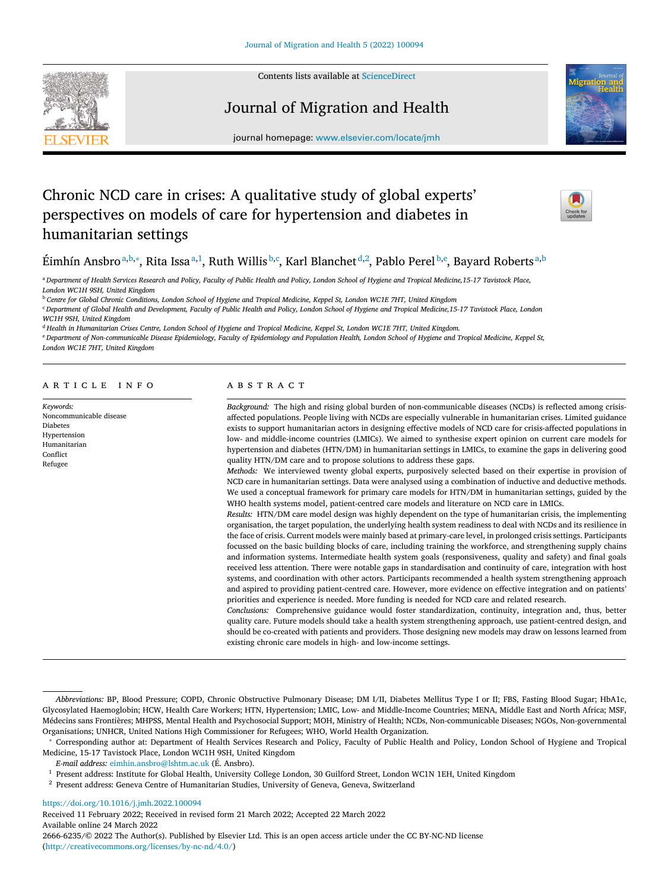Contents lists available at [ScienceDirect](http://www.ScienceDirect.com)

# Journal of Migration and Health



journal homepage: [www.elsevier.com/locate/jmh](http://www.elsevier.com/locate/jmh)

# Chronic NCD care in crises: A qualitative study of global experts' perspectives on models of care for hypertension and diabetes in humanitarian settings



Éimhín Ansbroª,b,\*, Rita Issaª,1, Ruth Willis <sup>b,c</sup>, Karl Blanchet <sup>d,2</sup>, Pablo Perel <sup>b,e</sup>, Bayard Roberts <sup>a,b</sup>

a Department of Health Services Research and Policy, Faculty of Public Health and Policy, London School of Hygiene and Tropical Medicine, 15-17 Tavistock Place, *London WC1H 9SH, United Kingdom*

<sup>b</sup> Centre for Global Chronic Conditions, London School of Hygiene and Tropical Medicine, Keppel St, London WC1E 7HT, United Kingdom

<sup>c</sup> Department of Global Health and Development, Faculty of Public Health and Policy, London School of Hygiene and Tropical Medicine, 15-17 Tavistock Place, London *WC1H 9SH, United Kingdom*

<sup>d</sup> Health in Humanitarian Crises Centre, London School of Hygiene and Tropical Medicine, Keppel St, London WC1E 7HT, United Kingdom.

e Department of Non-communicable Disease Epidemiology, Faculty of Epidemiology and Population Health, London School of Hygiene and Tropical Medicine, Keppel St,

*London WC1E 7HT, United Kingdom*

## a r t i c l e i n f o

*Keywords:* Noncommunicable disease Diabetes Hypertension Humanitarian Conflict Refugee

## A B S T R A C T

*Background:* The high and rising global burden of non-communicable diseases (NCDs) is reflected among crisisaffected populations. People living with NCDs are especially vulnerable in humanitarian crises. Limited guidance exists to support humanitarian actors in designing effective models of NCD care for crisis-affected populations in low- and middle-income countries (LMICs). We aimed to synthesise expert opinion on current care models for hypertension and diabetes (HTN/DM) in humanitarian settings in LMICs, to examine the gaps in delivering good quality HTN/DM care and to propose solutions to address these gaps.

*Methods:* We interviewed twenty global experts, purposively selected based on their expertise in provision of NCD care in humanitarian settings. Data were analysed using a combination of inductive and deductive methods. We used a conceptual framework for primary care models for HTN/DM in humanitarian settings, guided by the WHO health systems model, patient-centred care models and literature on NCD care in LMICs.

*Results:* HTN/DM care model design was highly dependent on the type of humanitarian crisis, the implementing organisation, the target population, the underlying health system readiness to deal with NCDs and its resilience in the face of crisis. Current models were mainly based at primary-care level, in prolonged crisis settings. Participants focussed on the basic building blocks of care, including training the workforce, and strengthening supply chains and information systems. Intermediate health system goals (responsiveness, quality and safety) and final goals received less attention. There were notable gaps in standardisation and continuity of care, integration with host systems, and coordination with other actors. Participants recommended a health system strengthening approach and aspired to providing patient-centred care. However, more evidence on effective integration and on patients' priorities and experience is needed. More funding is needed for NCD care and related research.

*Conclusions:* Comprehensive guidance would foster standardization, continuity, integration and, thus, better quality care. Future models should take a health system strengthening approach, use patient-centred design, and should be co-created with patients and providers. Those designing new models may draw on lessons learned from existing chronic care models in high- and low-income settings.

*E-mail address:* [eimhin.ansbro@lshtm.ac.uk](mailto:eimhin.ansbro@lshtm.ac.uk) (É. Ansbro).

<https://doi.org/10.1016/j.jmh.2022.100094>

Received 11 February 2022; Received in revised form 21 March 2022; Accepted 22 March 2022 Available online 24 March 2022 2666-6235/© 2022 The Author(s). Published by Elsevier Ltd. This is an open access article under the CC BY-NC-ND license [\(http://creativecommons.org/licenses/by-nc-nd/4.0/\)](http://creativecommons.org/licenses/by-nc-nd/4.0/)

*Abbreviations:* BP, Blood Pressure; COPD, Chronic Obstructive Pulmonary Disease; DM I/II, Diabetes Mellitus Type I or II; FBS, Fasting Blood Sugar; HbA1c, Glycosylated Haemoglobin; HCW, Health Care Workers; HTN, Hypertension; LMIC, Low- and Middle-Income Countries; MENA, Middle East and North Africa; MSF, Médecins sans Frontières; MHPSS, Mental Health and Psychosocial Support; MOH, Ministry of Health; NCDs, Non-communicable Diseases; NGOs, Non-governmental Organisations; UNHCR, United Nations High Commissioner for Refugees; WHO, World Health Organization.

<sup>∗</sup> Corresponding author at: Department of Health Services Research and Policy, Faculty of Public Health and Policy, London School of Hygiene and Tropical Medicine, 15-17 Tavistock Place, London WC1H 9SH, United Kingdom

<sup>&</sup>lt;sup>1</sup> Present address: Institute for Global Health, University College London, 30 Guilford Street, London WC1N 1EH, United Kingdom

<sup>2</sup> Present address: Geneva Centre of Humanitarian Studies, University of Geneva, Geneva, Switzerland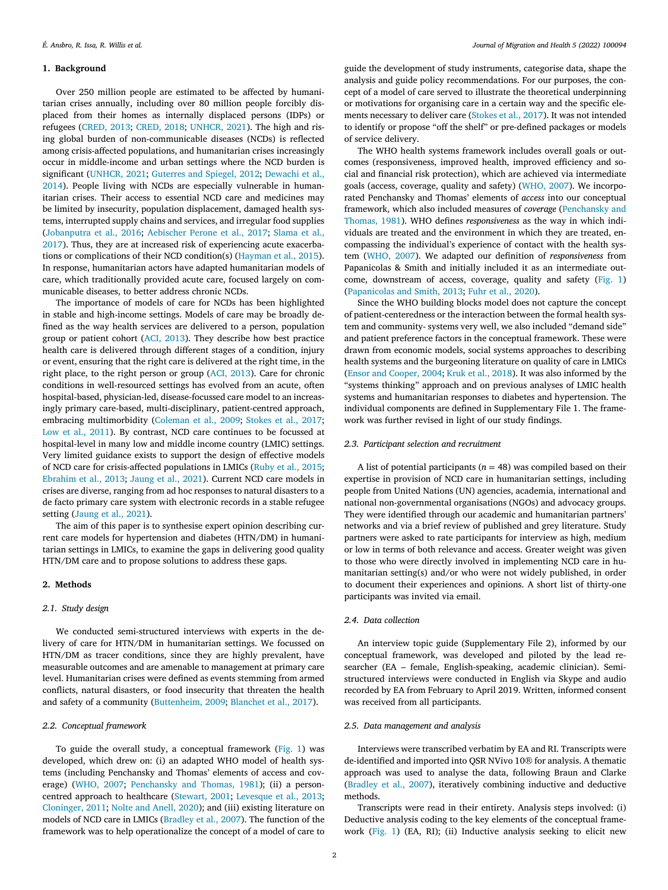## **1. Background**

Over 250 million people are estimated to be affected by humanitarian crises annually, including over 80 million people forcibly displaced from their homes as internally displaced persons (IDPs) or refugees [\(CRED,](#page-10-0) 2013; [CRED,](#page-10-0) 2018; [UNHCR,](#page-11-0) 2021). The high and rising global burden of non-communicable diseases (NCDs) is reflected among crisis-affected populations, and humanitarian crises increasingly occur in middle-income and urban settings where the NCD burden is significant [\(UNHCR,](#page-11-0) 2021; [Guterres](#page-10-0) and Spiegel, 2012; Dewachi et al., 2014). People living with NCDs are especially [vulnerable](#page-10-0) in humanitarian crises. Their access to essential NCD care and medicines may be limited by insecurity, population displacement, damaged health systems, interrupted supply chains and services, and irregular food supplies [\(Jobanputra](#page-11-0) et al., 2016; [Aebischer](#page-10-0) Perone et al., 2017; Slama et al., 2017). Thus, they are at increased risk of [experiencing](#page-11-0) acute exacerbations or complications of their NCD condition(s) [\(Hayman](#page-11-0) et al., 2015). In response, humanitarian actors have adapted humanitarian models of care, which traditionally provided acute care, focused largely on communicable diseases, to better address chronic NCDs.

The importance of models of care for NCDs has been highlighted in stable and high-income settings. Models of care may be broadly defined as the way health services are delivered to a person, population group or patient cohort (ACI, [2013\)](#page-10-0). They describe how best practice health care is delivered through different stages of a condition, injury or event, ensuring that the right care is delivered at the right time, in the right place, to the right person or group (ACI, [2013\)](#page-10-0). Care for chronic conditions in well-resourced settings has evolved from an acute, often hospital-based, physician-led, disease-focussed care model to an increasingly primary care-based, multi-disciplinary, patient-centred approach, embracing multimorbidity [\(Coleman](#page-10-0) et al., 2009; [Stokes](#page-11-0) et al., 2017; Low et al., [2011\)](#page-11-0). By contrast, NCD care continues to be focussed at hospital-level in many low and middle income country (LMIC) settings. Very limited guidance exists to support the design of effective models of NCD care for crisis-affected populations in LMICs [\(Ruby](#page-11-0) et al., 2015; [Ebrahim](#page-10-0) et al., 2013; [Jaung](#page-11-0) et al., 2021). Current NCD care models in crises are diverse, ranging from ad hoc responses to natural disasters to a de facto primary care system with electronic records in a stable refugee setting [\(Jaung](#page-11-0) et al., 2021).

The aim of this paper is to synthesise expert opinion describing current care models for hypertension and diabetes (HTN/DM) in humanitarian settings in LMICs, to examine the gaps in delivering good quality HTN/DM care and to propose solutions to address these gaps.

## **2. Methods**

#### *2.1. Study design*

We conducted semi-structured interviews with experts in the delivery of care for HTN/DM in humanitarian settings. We focussed on HTN/DM as tracer conditions, since they are highly prevalent, have measurable outcomes and are amenable to management at primary care level. Humanitarian crises were defined as events stemming from armed conflicts, natural disasters, or food insecurity that threaten the health and safety of a community [\(Buttenheim,](#page-10-0) 2009; [Blanchet](#page-10-0) et al., 2017).

#### *2.2. Conceptual framework*

To guide the overall study, a conceptual framework [\(Fig.](#page-2-0) 1) was developed, which drew on: (i) an adapted WHO model of health systems (including Penchansky and Thomas' elements of access and coverage) [\(WHO,](#page-11-0) 2007; [Penchansky](#page-11-0) and Thomas, 1981); (ii) a personcentred approach to healthcare [\(Stewart,](#page-11-0) 2001; [Levesque](#page-11-0) et al., 2013; [Cloninger,](#page-10-0) 2011; Nolte and [Anell,](#page-11-0) 2020); and (iii) existing literature on models of NCD care in LMICs [\(Bradley](#page-10-0) et al., 2007). The function of the framework was to help operationalize the concept of a model of care to

guide the development of study instruments, categorise data, shape the analysis and guide policy recommendations. For our purposes, the concept of a model of care served to illustrate the theoretical underpinning or motivations for organising care in a certain way and the specific elements necessary to deliver care [\(Stokes](#page-11-0) et al., 2017). It was not intended to identify or propose "off the shelf" or pre-defined packages or models of service delivery.

The WHO health systems framework includes overall goals or outcomes (responsiveness, improved health, improved efficiency and social and financial risk protection), which are achieved via intermediate goals (access, coverage, quality and safety) [\(WHO,](#page-11-0) 2007). We incorporated Penchansky and Thomas' elements of *access* into our conceptual framework, which also included measures of *coverage* (Penchansky and Thomas, 1981). WHO defines *[responsiveness](#page-11-0)* as the way in which individuals are treated and the environment in which they are treated, encompassing the individual's experience of contact with the health system [\(WHO,](#page-11-0) 2007). We adapted our definition of *responsiveness* from Papanicolas & Smith and initially included it as an intermediate outcome, downstream of access, coverage, quality and safety [\(Fig.](#page-2-0) 1) [\(Papanicolas](#page-11-0) and Smith, 2013; Fuhr et al., [2020\)](#page-10-0).

Since the WHO building blocks model does not capture the concept of patient-centeredness or the interaction between the formal health system and community- systems very well, we also included "demand side" and patient preference factors in the conceptual framework. These were drawn from economic models, social systems approaches to describing health systems and the burgeoning literature on quality of care in LMICs (Ensor and [Cooper,](#page-10-0) 2004; Kruk et al., [2018\)](#page-11-0). It was also informed by the "systems thinking" approach and on previous analyses of LMIC health systems and humanitarian responses to diabetes and hypertension. The individual components are defined in Supplementary File 1. The framework was further revised in light of our study findings.

#### *2.3. Participant selection and recruitment*

A list of potential participants ( $n = 48$ ) was compiled based on their expertise in provision of NCD care in humanitarian settings, including people from United Nations (UN) agencies, academia, international and national non-governmental organisations (NGOs) and advocacy groups. They were identified through our academic and humanitarian partners' networks and via a brief review of published and grey literature. Study partners were asked to rate participants for interview as high, medium or low in terms of both relevance and access. Greater weight was given to those who were directly involved in implementing NCD care in humanitarian setting(s) and/or who were not widely published, in order to document their experiences and opinions. A short list of thirty-one participants was invited via email.

## *2.4. Data collection*

An interview topic guide (Supplementary File 2), informed by our conceptual framework, was developed and piloted by the lead researcher (EA – female, English-speaking, academic clinician). Semistructured interviews were conducted in English via Skype and audio recorded by EA from February to April 2019. Written, informed consent was received from all participants.

#### *2.5. Data management and analysis*

Interviews were transcribed verbatim by EA and RI. Transcripts were de-identified and imported into QSR NVivo 10® for analysis. A thematic approach was used to analyse the data, following Braun and Clarke [\(Bradley](#page-10-0) et al., 2007), iteratively combining inductive and deductive methods.

Transcripts were read in their entirety. Analysis steps involved: (i) Deductive analysis coding to the key elements of the conceptual framework [\(Fig.](#page-2-0) 1) (EA, RI); (ii) Inductive analysis seeking to elicit new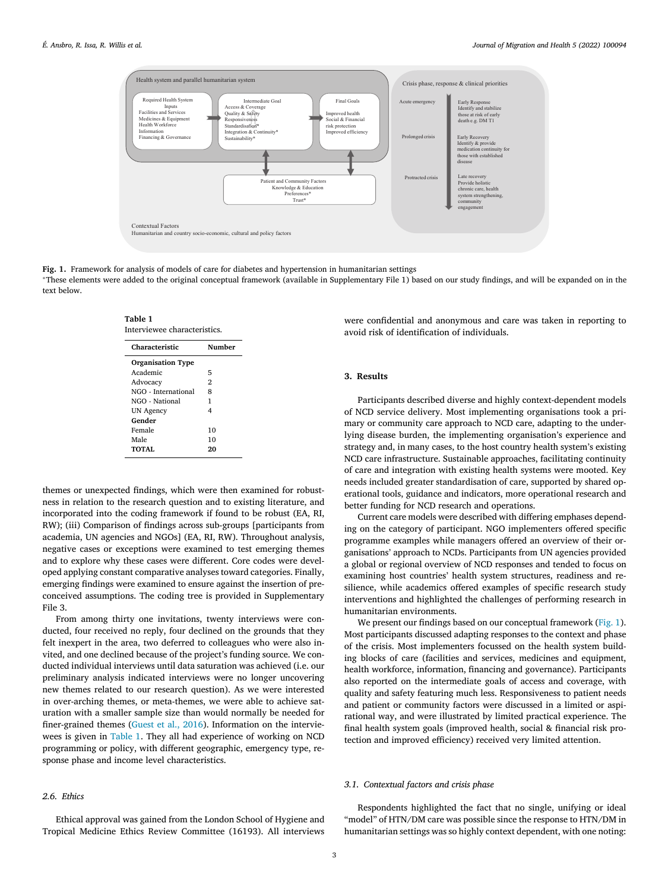<span id="page-2-0"></span>

**Fig. 1.** Framework for analysis of models of care for diabetes and hypertension in humanitarian settings

<sup>∗</sup>These elements were added to the original conceptual framework (available in Supplementary File 1) based on our study findings, and will be expanded on in the text below.

| Characteristic           | Number         |
|--------------------------|----------------|
| <b>Organisation Type</b> |                |
| Academic                 | 5              |
| Advocacy                 | $\overline{2}$ |
| NGO - International      | 8              |
| NGO - National           | 1              |
| <b>UN Agency</b>         | 4              |
| Gender                   |                |
| Female                   | 10             |
| Male                     | 10             |
| TOTAL                    | 20             |

**Table 1**

themes or unexpected findings, which were then examined for robustness in relation to the research question and to existing literature, and incorporated into the coding framework if found to be robust (EA, RI, RW); (iii) Comparison of findings across sub-groups [participants from academia, UN agencies and NGOs] (EA, RI, RW). Throughout analysis, negative cases or exceptions were examined to test emerging themes and to explore why these cases were different. Core codes were developed applying constant comparative analyses toward categories. Finally, emerging findings were examined to ensure against the insertion of preconceived assumptions. The coding tree is provided in Supplementary File 3.

From among thirty one invitations, twenty interviews were conducted, four received no reply, four declined on the grounds that they felt inexpert in the area, two deferred to colleagues who were also invited, and one declined because of the project's funding source. We conducted individual interviews until data saturation was achieved (i.e. our preliminary analysis indicated interviews were no longer uncovering new themes related to our research question). As we were interested in over-arching themes, or meta-themes, we were able to achieve saturation with a smaller sample size than would normally be needed for finer-grained themes [\(Guest](#page-10-0) et al., 2016). Information on the interviewees is given in Table 1. They all had experience of working on NCD programming or policy, with different geographic, emergency type, response phase and income level characteristics.

## *2.6. Ethics*

Ethical approval was gained from the London School of Hygiene and Tropical Medicine Ethics Review Committee (16193). All interviews

were confidential and anonymous and care was taken in reporting to avoid risk of identification of individuals.

### **3. Results**

Participants described diverse and highly context-dependent models of NCD service delivery. Most implementing organisations took a primary or community care approach to NCD care, adapting to the underlying disease burden, the implementing organisation's experience and strategy and, in many cases, to the host country health system's existing NCD care infrastructure. Sustainable approaches, facilitating continuity of care and integration with existing health systems were mooted. Key needs included greater standardisation of care, supported by shared operational tools, guidance and indicators, more operational research and better funding for NCD research and operations.

Current care models were described with differing emphases depending on the category of participant. NGO implementers offered specific programme examples while managers offered an overview of their organisations' approach to NCDs. Participants from UN agencies provided a global or regional overview of NCD responses and tended to focus on examining host countries' health system structures, readiness and resilience, while academics offered examples of specific research study interventions and highlighted the challenges of performing research in humanitarian environments.

We present our findings based on our conceptual framework (Fig. 1). Most participants discussed adapting responses to the context and phase of the crisis. Most implementers focussed on the health system building blocks of care (facilities and services, medicines and equipment, health workforce, information, financing and governance). Participants also reported on the intermediate goals of access and coverage, with quality and safety featuring much less. Responsiveness to patient needs and patient or community factors were discussed in a limited or aspirational way, and were illustrated by limited practical experience. The final health system goals (improved health, social & financial risk protection and improved efficiency) received very limited attention.

#### *3.1. Contextual factors and crisis phase*

Respondents highlighted the fact that no single, unifying or ideal "model" of HTN/DM care was possible since the response to HTN/DM in humanitarian settings was so highly context dependent, with one noting: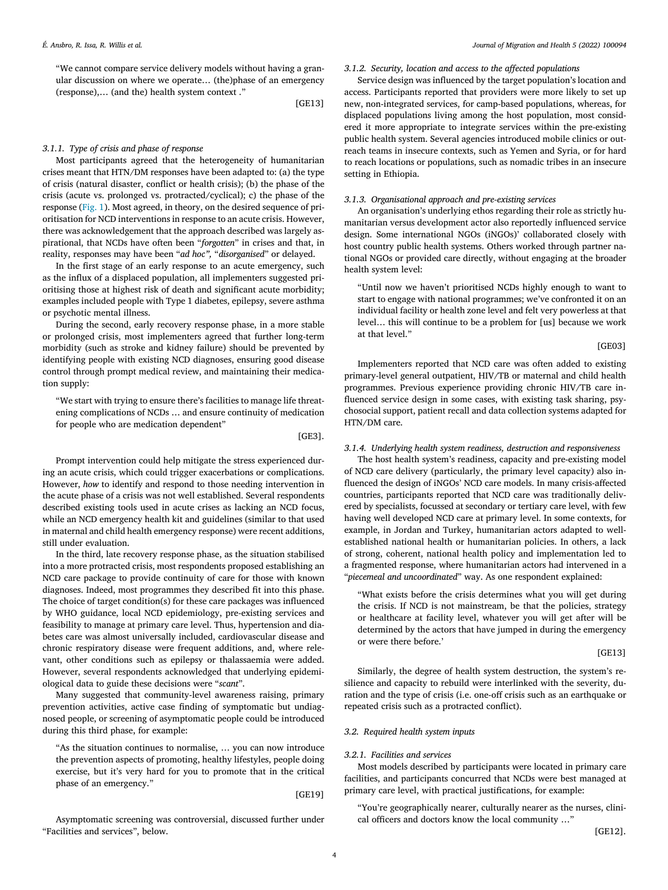"We cannot compare service delivery models without having a granular discussion on where we operate… (the)phase of an emergency (response),… (and the) health system context ."

[GE13]

## *3.1.1. Type of crisis and phase of response*

Most participants agreed that the heterogeneity of humanitarian crises meant that HTN/DM responses have been adapted to: (a) the type of crisis (natural disaster, conflict or health crisis); (b) the phase of the crisis (acute vs. prolonged vs. protracted/cyclical); c) the phase of the response [\(Fig.](#page-2-0) 1). Most agreed, in theory, on the desired sequence of prioritisation for NCD interventions in response to an acute crisis. However, there was acknowledgement that the approach described was largely aspirational, that NCDs have often been "*forgotten*" in crises and that, in reality, responses may have been "*ad hoc",* "*disorganised*" or delayed.

In the first stage of an early response to an acute emergency, such as the influx of a displaced population, all implementers suggested prioritising those at highest risk of death and significant acute morbidity; examples included people with Type 1 diabetes, epilepsy, severe asthma or psychotic mental illness.

During the second, early recovery response phase, in a more stable or prolonged crisis, most implementers agreed that further long-term morbidity (such as stroke and kidney failure) should be prevented by identifying people with existing NCD diagnoses, ensuring good disease control through prompt medical review, and maintaining their medication supply:

"We start with trying to ensure there's facilities to manage life threatening complications of NCDs … and ensure continuity of medication for people who are medication dependent"

[GE3].

Prompt intervention could help mitigate the stress experienced during an acute crisis, which could trigger exacerbations or complications. However, *how* to identify and respond to those needing intervention in the acute phase of a crisis was not well established. Several respondents described existing tools used in acute crises as lacking an NCD focus, while an NCD emergency health kit and guidelines (similar to that used in maternal and child health emergency response) were recent additions, still under evaluation.

In the third, late recovery response phase, as the situation stabilised into a more protracted crisis, most respondents proposed establishing an NCD care package to provide continuity of care for those with known diagnoses. Indeed, most programmes they described fit into this phase. The choice of target condition(s) for these care packages was influenced by WHO guidance, local NCD epidemiology, pre-existing services and feasibility to manage at primary care level. Thus, hypertension and diabetes care was almost universally included, cardiovascular disease and chronic respiratory disease were frequent additions, and, where relevant, other conditions such as epilepsy or thalassaemia were added. However, several respondents acknowledged that underlying epidemiological data to guide these decisions were "*scant*".

Many suggested that community-level awareness raising, primary prevention activities, active case finding of symptomatic but undiagnosed people, or screening of asymptomatic people could be introduced during this third phase, for example:

"As the situation continues to normalise, … you can now introduce the prevention aspects of promoting, healthy lifestyles, people doing exercise, but it's very hard for you to promote that in the critical phase of an emergency."

[GE19]

Asymptomatic screening was controversial, discussed further under "Facilities and services", below.

## *3.1.2. Security, location and access to the affected populations*

Service design was influenced by the target population's location and access. Participants reported that providers were more likely to set up new, non-integrated services, for camp-based populations, whereas, for displaced populations living among the host population, most considered it more appropriate to integrate services within the pre-existing public health system. Several agencies introduced mobile clinics or outreach teams in insecure contexts, such as Yemen and Syria, or for hard to reach locations or populations, such as nomadic tribes in an insecure setting in Ethiopia.

## *3.1.3. Organisational approach and pre-existing services*

An organisation's underlying ethos regarding their role as strictly humanitarian versus development actor also reportedly influenced service design. Some international NGOs (iNGOs)' collaborated closely with host country public health systems. Others worked through partner national NGOs or provided care directly, without engaging at the broader health system level:

"Until now we haven't prioritised NCDs highly enough to want to start to engage with national programmes; we've confronted it on an individual facility or health zone level and felt very powerless at that level… this will continue to be a problem for [us] because we work at that level."

[GE03]

Implementers reported that NCD care was often added to existing primary-level general outpatient, HIV/TB or maternal and child health programmes. Previous experience providing chronic HIV/TB care influenced service design in some cases, with existing task sharing, psychosocial support, patient recall and data collection systems adapted for HTN/DM care.

## *3.1.4. Underlying health system readiness, destruction and responsiveness*

The host health system's readiness, capacity and pre-existing model of NCD care delivery (particularly, the primary level capacity) also influenced the design of iNGOs' NCD care models. In many crisis-affected countries, participants reported that NCD care was traditionally delivered by specialists, focussed at secondary or tertiary care level, with few having well developed NCD care at primary level. In some contexts, for example, in Jordan and Turkey, humanitarian actors adapted to wellestablished national health or humanitarian policies. In others, a lack of strong, coherent, national health policy and implementation led to a fragmented response, where humanitarian actors had intervened in a "*piecemeal and uncoordinated*" way. As one respondent explained:

"What exists before the crisis determines what you will get during the crisis. If NCD is not mainstream, be that the policies, strategy or healthcare at facility level, whatever you will get after will be determined by the actors that have jumped in during the emergency or were there before.'

#### [GE13]

Similarly, the degree of health system destruction, the system's resilience and capacity to rebuild were interlinked with the severity, duration and the type of crisis (i.e. one-off crisis such as an earthquake or repeated crisis such as a protracted conflict).

## *3.2. Required health system inputs*

## *3.2.1. Facilities and services*

Most models described by participants were located in primary care facilities, and participants concurred that NCDs were best managed at primary care level, with practical justifications, for example:

"You're geographically nearer, culturally nearer as the nurses, clinical officers and doctors know the local community …"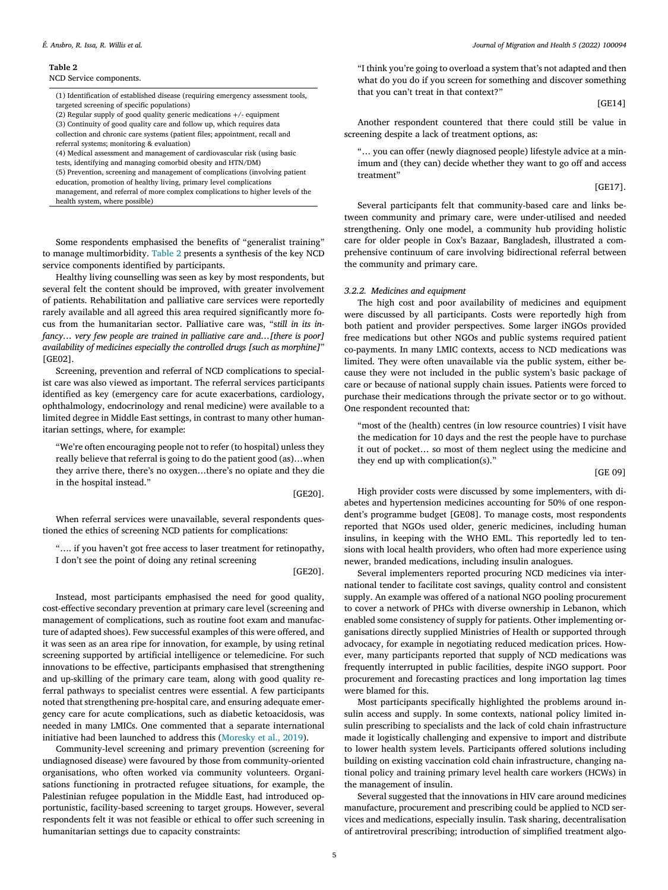#### **Table 2**

NCD Service components.

(1) Identification of established disease (requiring emergency assessment tools, targeted screening of specific populations)

- (2) Regular supply of good quality generic medications +/- equipment (3) Continuity of good quality care and follow up, which requires data collection and chronic care systems (patient files; appointment, recall and referral systems; monitoring & evaluation)
- (4) Medical assessment and management of cardiovascular risk (using basic

tests, identifying and managing comorbid obesity and HTN/DM)

- (5) Prevention, screening and management of complications (involving patient
- education, promotion of healthy living, primary level complications
- management, and referral of more complex complications to higher levels of the health system, where possible)

Some respondents emphasised the benefits of "generalist training" to manage multimorbidity. Table 2 presents a synthesis of the key NCD service components identified by participants.

Healthy living counselling was seen as key by most respondents, but several felt the content should be improved, with greater involvement of patients. Rehabilitation and palliative care services were reportedly rarely available and all agreed this area required significantly more focus from the humanitarian sector. Palliative care was, "s*till in its infancy… very few people are trained in palliative care and…[there is poor] availability of medicines especially the controlled drugs [such as morphine]*" [GE02].

Screening, prevention and referral of NCD complications to specialist care was also viewed as important. The referral services participants identified as key (emergency care for acute exacerbations, cardiology, ophthalmology, endocrinology and renal medicine) were available to a limited degree in Middle East settings, in contrast to many other humanitarian settings, where, for example:

"We're often encouraging people not to refer (to hospital) unless they really believe that referral is going to do the patient good (as)…when they arrive there, there's no oxygen…there's no opiate and they die in the hospital instead."

[GE20].

When referral services were unavailable, several respondents questioned the ethics of screening NCD patients for complications:

"…. if you haven't got free access to laser treatment for retinopathy, I don't see the point of doing any retinal screening

[GE20].

Instead, most participants emphasised the need for good quality, cost-effective secondary prevention at primary care level (screening and management of complications, such as routine foot exam and manufacture of adapted shoes). Few successful examples of this were offered, and it was seen as an area ripe for innovation, for example, by using retinal screening supported by artificial intelligence or telemedicine. For such innovations to be effective, participants emphasised that strengthening and up-skilling of the primary care team, along with good quality referral pathways to specialist centres were essential. A few participants noted that strengthening pre-hospital care, and ensuring adequate emergency care for acute complications, such as diabetic ketoacidosis, was needed in many LMICs. One commented that a separate international initiative had been launched to address this [\(Moresky](#page-11-0) et al., 2019).

Community-level screening and primary prevention (screening for undiagnosed disease) were favoured by those from community-oriented organisations, who often worked via community volunteers. Organisations functioning in protracted refugee situations, for example, the Palestinian refugee population in the Middle East, had introduced opportunistic, facility-based screening to target groups. However, several respondents felt it was not feasible or ethical to offer such screening in humanitarian settings due to capacity constraints:

"I think you're going to overload a system that's not adapted and then what do you do if you screen for something and discover something that you can't treat in that context?"

[GE14]

Another respondent countered that there could still be value in screening despite a lack of treatment options, as:

"… you can offer (newly diagnosed people) lifestyle advice at a minimum and (they can) decide whether they want to go off and access treatment"

[GE17].

Several participants felt that community-based care and links between community and primary care, were under-utilised and needed strengthening. Only one model, a community hub providing holistic care for older people in Cox's Bazaar, Bangladesh, illustrated a comprehensive continuum of care involving bidirectional referral between the community and primary care.

#### *3.2.2. Medicines and equipment*

The high cost and poor availability of medicines and equipment were discussed by all participants. Costs were reportedly high from both patient and provider perspectives. Some larger iNGOs provided free medications but other NGOs and public systems required patient co-payments. In many LMIC contexts, access to NCD medications was limited. They were often unavailable via the public system, either because they were not included in the public system's basic package of care or because of national supply chain issues. Patients were forced to purchase their medications through the private sector or to go without. One respondent recounted that:

"most of the (health) centres (in low resource countries) I visit have the medication for 10 days and the rest the people have to purchase it out of pocket… so most of them neglect using the medicine and they end up with complication(s)."

[GE 09]

High provider costs were discussed by some implementers, with diabetes and hypertension medicines accounting for 50% of one respondent's programme budget [GE08]. To manage costs, most respondents reported that NGOs used older, generic medicines, including human insulins, in keeping with the WHO EML. This reportedly led to tensions with local health providers, who often had more experience using newer, branded medications, including insulin analogues.

Several implementers reported procuring NCD medicines via international tender to facilitate cost savings, quality control and consistent supply. An example was offered of a national NGO pooling procurement to cover a network of PHCs with diverse ownership in Lebanon, which enabled some consistency of supply for patients. Other implementing organisations directly supplied Ministries of Health or supported through advocacy, for example in negotiating reduced medication prices. However, many participants reported that supply of NCD medications was frequently interrupted in public facilities, despite iNGO support. Poor procurement and forecasting practices and long importation lag times were blamed for this.

Most participants specifically highlighted the problems around insulin access and supply. In some contexts, national policy limited insulin prescribing to specialists and the lack of cold chain infrastructure made it logistically challenging and expensive to import and distribute to lower health system levels. Participants offered solutions including building on existing vaccination cold chain infrastructure, changing national policy and training primary level health care workers (HCWs) in the management of insulin.

Several suggested that the innovations in HIV care around medicines manufacture, procurement and prescribing could be applied to NCD services and medications, especially insulin. Task sharing, decentralisation of antiretroviral prescribing; introduction of simplified treatment algo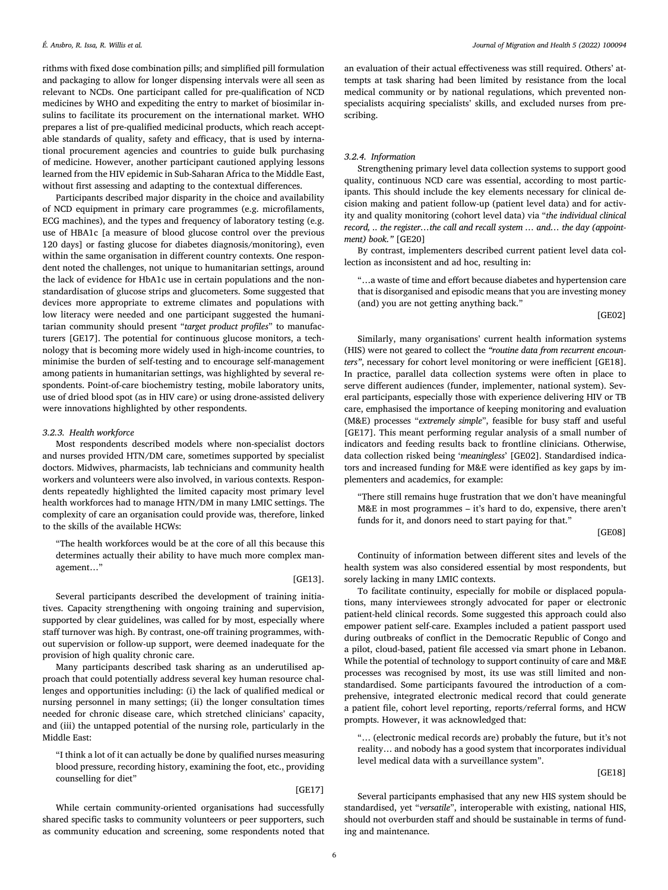rithms with fixed dose combination pills; and simplified pill formulation and packaging to allow for longer dispensing intervals were all seen as relevant to NCDs. One participant called for pre-qualification of NCD medicines by WHO and expediting the entry to market of biosimilar insulins to facilitate its procurement on the international market. WHO prepares a list of pre-qualified medicinal products, which reach acceptable standards of quality, safety and efficacy, that is used by international procurement agencies and countries to guide bulk purchasing of medicine. However, another participant cautioned applying lessons learned from the HIV epidemic in Sub-Saharan Africa to the Middle East, without first assessing and adapting to the contextual differences.

Participants described major disparity in the choice and availability of NCD equipment in primary care programmes (e.g. microfilaments, ECG machines), and the types and frequency of laboratory testing (e.g. use of HBA1c [a measure of blood glucose control over the previous 120 days] or fasting glucose for diabetes diagnosis/monitoring), even within the same organisation in different country contexts. One respondent noted the challenges, not unique to humanitarian settings, around the lack of evidence for HbA1c use in certain populations and the nonstandardisation of glucose strips and glucometers. Some suggested that devices more appropriate to extreme climates and populations with low literacy were needed and one participant suggested the humanitarian community should present "*target product profiles*" to manufacturers [GE17]. The potential for continuous glucose monitors, a technology that is becoming more widely used in high-income countries, to minimise the burden of self-testing and to encourage self-management among patients in humanitarian settings, was highlighted by several respondents. Point-of-care biochemistry testing, mobile laboratory units, use of dried blood spot (as in HIV care) or using drone-assisted delivery were innovations highlighted by other respondents.

#### *3.2.3. Health workforce*

Most respondents described models where non-specialist doctors and nurses provided HTN/DM care, sometimes supported by specialist doctors. Midwives, pharmacists, lab technicians and community health workers and volunteers were also involved, in various contexts. Respondents repeatedly highlighted the limited capacity most primary level health workforces had to manage HTN/DM in many LMIC settings. The complexity of care an organisation could provide was, therefore, linked to the skills of the available HCWs:

"The health workforces would be at the core of all this because this determines actually their ability to have much more complex management…"

#### [GE13].

Several participants described the development of training initiatives. Capacity strengthening with ongoing training and supervision, supported by clear guidelines, was called for by most, especially where staff turnover was high. By contrast, one-off training programmes, without supervision or follow-up support, were deemed inadequate for the provision of high quality chronic care.

Many participants described task sharing as an underutilised approach that could potentially address several key human resource challenges and opportunities including: (i) the lack of qualified medical or nursing personnel in many settings; (ii) the longer consultation times needed for chronic disease care, which stretched clinicians' capacity, and (iii) the untapped potential of the nursing role, particularly in the Middle East:

"I think a lot of it can actually be done by qualified nurses measuring blood pressure, recording history, examining the foot, etc., providing counselling for diet"

#### [GE17]

While certain community-oriented organisations had successfully shared specific tasks to community volunteers or peer supporters, such as community education and screening, some respondents noted that an evaluation of their actual effectiveness was still required. Others' attempts at task sharing had been limited by resistance from the local medical community or by national regulations, which prevented nonspecialists acquiring specialists' skills, and excluded nurses from prescribing.

## *3.2.4. Information*

Strengthening primary level data collection systems to support good quality, continuous NCD care was essential, according to most participants. This should include the key elements necessary for clinical decision making and patient follow-up (patient level data) and for activity and quality monitoring (cohort level data) via "*the individual clinical record, .. the register…the call and recall system … and… the day (appointment) book."* [GE20]

By contrast, implementers described current patient level data collection as inconsistent and ad hoc, resulting in:

"…a waste of time and effort because diabetes and hypertension care that is disorganised and episodic means that you are investing money (and) you are not getting anything back."

[GE02]

Similarly, many organisations' current health information systems (HIS) were not geared to collect the *"routine data from recurrent encounters"*, necessary for cohort level monitoring or were inefficient [GE18]. In practice, parallel data collection systems were often in place to serve different audiences (funder, implementer, national system). Several participants, especially those with experience delivering HIV or TB care, emphasised the importance of keeping monitoring and evaluation (M&E) processes "*extremely simple*", feasible for busy staff and useful [GE17]. This meant performing regular analysis of a small number of indicators and feeding results back to frontline clinicians. Otherwise, data collection risked being '*meaningless*' [GE02]. Standardised indicators and increased funding for M&E were identified as key gaps by implementers and academics, for example:

"There still remains huge frustration that we don't have meaningful M&E in most programmes – it's hard to do, expensive, there aren't funds for it, and donors need to start paying for that."

[GE08]

Continuity of information between different sites and levels of the health system was also considered essential by most respondents, but sorely lacking in many LMIC contexts.

To facilitate continuity, especially for mobile or displaced populations, many interviewees strongly advocated for paper or electronic patient-held clinical records. Some suggested this approach could also empower patient self-care. Examples included a patient passport used during outbreaks of conflict in the Democratic Republic of Congo and a pilot, cloud-based, patient file accessed via smart phone in Lebanon. While the potential of technology to support continuity of care and M&E processes was recognised by most, its use was still limited and nonstandardised. Some participants favoured the introduction of a comprehensive, integrated electronic medical record that could generate a patient file, cohort level reporting, reports/referral forms, and HCW prompts. However, it was acknowledged that:

"… (electronic medical records are) probably the future, but it's not reality… and nobody has a good system that incorporates individual level medical data with a surveillance system".

[GE18]

Several participants emphasised that any new HIS system should be standardised, yet "*versatile*", interoperable with existing, national HIS, should not overburden staff and should be sustainable in terms of funding and maintenance.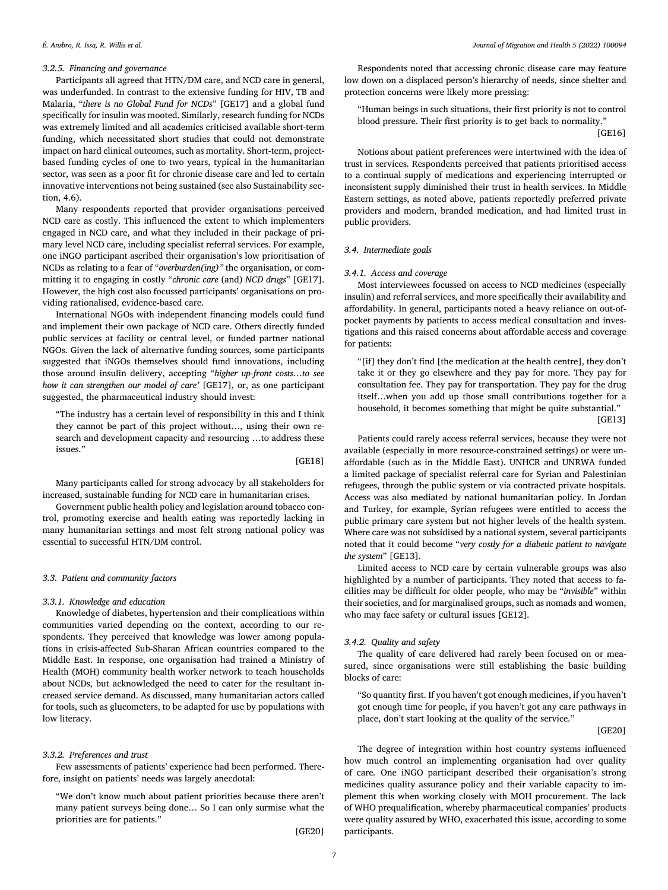## *3.2.5. Financing and governance*

Participants all agreed that HTN/DM care, and NCD care in general, was underfunded. In contrast to the extensive funding for HIV, TB and Malaria, "*there is no Global Fund for NCDs*" [GE17] and a global fund specifically for insulin was mooted. Similarly, research funding for NCDs was extremely limited and all academics criticised available short-term funding, which necessitated short studies that could not demonstrate impact on hard clinical outcomes, such as mortality. Short-term, projectbased funding cycles of one to two years, typical in the humanitarian sector, was seen as a poor fit for chronic disease care and led to certain innovative interventions not being sustained (see also Sustainability section, 4.6).

Many respondents reported that provider organisations perceived NCD care as costly. This influenced the extent to which implementers engaged in NCD care, and what they included in their package of primary level NCD care, including specialist referral services. For example, one iNGO participant ascribed their organisation's low prioritisation of NCDs as relating to a fear of "*overburden(ing)"* the organisation, or committing it to engaging in costly "*chronic care* (and) *NCD drugs*" [GE17]. However, the high cost also focussed participants' organisations on providing rationalised, evidence-based care.

International NGOs with independent financing models could fund and implement their own package of NCD care. Others directly funded public services at facility or central level, or funded partner national NGOs. Given the lack of alternative funding sources, some participants suggested that iNGOs themselves should fund innovations, including those around insulin delivery, accepting "*higher up-front costs*…*to see how it can strengthen our model of care'* [GE17], or, as one participant suggested, the pharmaceutical industry should invest:

"The industry has a certain level of responsibility in this and I think they cannot be part of this project without…, using their own research and development capacity and resourcing …to address these issues."

[GE18]

Many participants called for strong advocacy by all stakeholders for increased, sustainable funding for NCD care in humanitarian crises.

Government public health policy and legislation around tobacco control, promoting exercise and health eating was reportedly lacking in many humanitarian settings and most felt strong national policy was essential to successful HTN/DM control.

## *3.3. Patient and community factors*

#### *3.3.1. Knowledge and education*

Knowledge of diabetes, hypertension and their complications within communities varied depending on the context, according to our respondents. They perceived that knowledge was lower among populations in crisis-affected Sub-Sharan African countries compared to the Middle East. In response, one organisation had trained a Ministry of Health (MOH) community health worker network to teach households about NCDs, but acknowledged the need to cater for the resultant increased service demand. As discussed, many humanitarian actors called for tools, such as glucometers, to be adapted for use by populations with low literacy.

## *3.3.2. Preferences and trust*

Few assessments of patients' experience had been performed. Therefore, insight on patients' needs was largely anecdotal:

"We don't know much about patient priorities because there aren't many patient surveys being done… So I can only surmise what the priorities are for patients."

[GE20]

Respondents noted that accessing chronic disease care may feature low down on a displaced person's hierarchy of needs, since shelter and protection concerns were likely more pressing:

"Human beings in such situations, their first priority is not to control blood pressure. Their first priority is to get back to normality."

[GE16]

Notions about patient preferences were intertwined with the idea of trust in services. Respondents perceived that patients prioritised access to a continual supply of medications and experiencing interrupted or inconsistent supply diminished their trust in health services. In Middle Eastern settings, as noted above, patients reportedly preferred private providers and modern, branded medication, and had limited trust in public providers.

## *3.4. Intermediate goals*

## *3.4.1. Access and coverage*

Most interviewees focussed on access to NCD medicines (especially insulin) and referral services, and more specifically their availability and affordability. In general, participants noted a heavy reliance on out-ofpocket payments by patients to access medical consultation and investigations and this raised concerns about affordable access and coverage for patients:

"[if] they don't find [the medication at the health centre], they don't take it or they go elsewhere and they pay for more. They pay for consultation fee. They pay for transportation. They pay for the drug itself…when you add up those small contributions together for a household, it becomes something that might be quite substantial." [GE13]

Patients could rarely access referral services, because they were not available (especially in more resource-constrained settings) or were unaffordable (such as in the Middle East). UNHCR and UNRWA funded a limited package of specialist referral care for Syrian and Palestinian refugees, through the public system or via contracted private hospitals. Access was also mediated by national humanitarian policy. In Jordan and Turkey, for example, Syrian refugees were entitled to access the public primary care system but not higher levels of the health system. Where care was not subsidised by a national system, several participants noted that it could become "*very costly for a diabetic patient to navigate the system*" [GE13].

Limited access to NCD care by certain vulnerable groups was also highlighted by a number of participants. They noted that access to facilities may be difficult for older people, who may be "*invisible*" within their societies, and for marginalised groups, such as nomads and women, who may face safety or cultural issues [GE12].

#### *3.4.2. Quality and safety*

The quality of care delivered had rarely been focused on or measured, since organisations were still establishing the basic building blocks of care:

"So quantity first. If you haven't got enough medicines, if you haven't got enough time for people, if you haven't got any care pathways in place, don't start looking at the quality of the service."

[GE20]

The degree of integration within host country systems influenced how much control an implementing organisation had over quality of care*.* One iNGO participant described their organisation's strong medicines quality assurance policy and their variable capacity to implement this when working closely with MOH procurement. The lack of WHO prequalification, whereby pharmaceutical companies' products were quality assured by WHO, exacerbated this issue, according to some participants.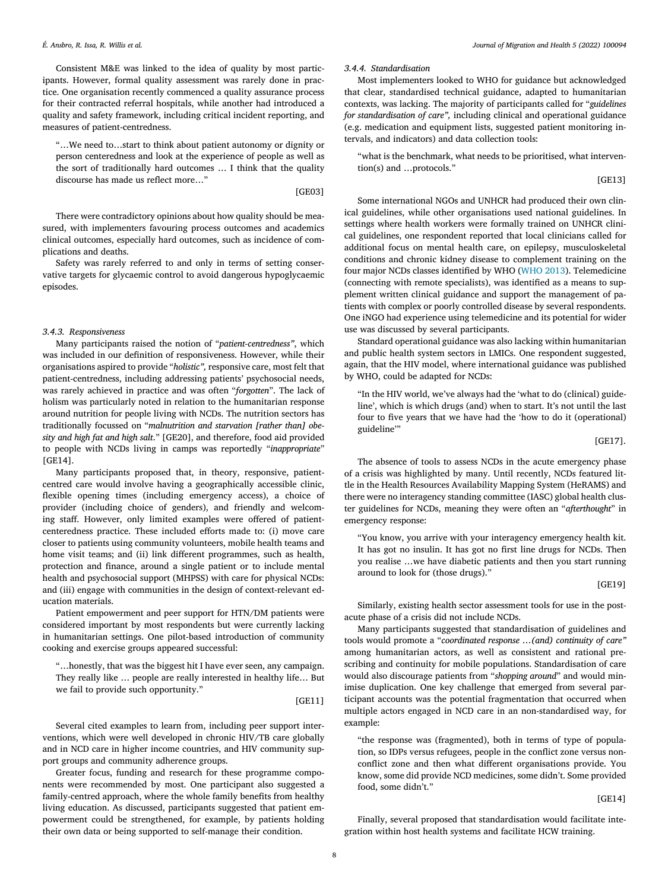Consistent M&E was linked to the idea of quality by most participants. However, formal quality assessment was rarely done in practice. One organisation recently commenced a quality assurance process for their contracted referral hospitals, while another had introduced a quality and safety framework, including critical incident reporting, and measures of patient-centredness.

"…We need to…start to think about patient autonomy or dignity or person centeredness and look at the experience of people as well as the sort of traditionally hard outcomes … I think that the quality discourse has made us reflect more…"

[GE03]

There were contradictory opinions about how quality should be measured, with implementers favouring process outcomes and academics clinical outcomes, especially hard outcomes, such as incidence of complications and deaths.

Safety was rarely referred to and only in terms of setting conservative targets for glycaemic control to avoid dangerous hypoglycaemic episodes.

#### *3.4.3. Responsiveness*

Many participants raised the notion of "*patient-centredness"*, which was included in our definition of responsiveness. However, while their organisations aspired to provide "*holistic",* responsive care, most felt that patient-centredness, including addressing patients' psychosocial needs, was rarely achieved in practice and was often "*forgotten*". The lack of holism was particularly noted in relation to the humanitarian response around nutrition for people living with NCDs. The nutrition sectors has traditionally focussed on "*malnutrition and starvation [rather than] obesity and high fat and high salt*." [GE20], and therefore, food aid provided to people with NCDs living in camps was reportedly "*inappropriate*" [GE14].

Many participants proposed that, in theory, responsive, patientcentred care would involve having a geographically accessible clinic, flexible opening times (including emergency access), a choice of provider (including choice of genders), and friendly and welcoming staff. However, only limited examples were offered of patientcenteredness practice. These included efforts made to: (i) move care closer to patients using community volunteers, mobile health teams and home visit teams; and (ii) link different programmes, such as health, protection and finance, around a single patient or to include mental health and psychosocial support (MHPSS) with care for physical NCDs: and (iii) engage with communities in the design of context-relevant education materials.

Patient empowerment and peer support for HTN/DM patients were considered important by most respondents but were currently lacking in humanitarian settings. One pilot-based introduction of community cooking and exercise groups appeared successful:

"…honestly, that was the biggest hit I have ever seen, any campaign. They really like … people are really interested in healthy life… But we fail to provide such opportunity."

[GE11]

Several cited examples to learn from, including peer support interventions, which were well developed in chronic HIV/TB care globally and in NCD care in higher income countries, and HIV community support groups and community adherence groups.

Greater focus, funding and research for these programme components were recommended by most. One participant also suggested a family-centred approach, where the whole family benefits from healthy living education. As discussed, participants suggested that patient empowerment could be strengthened, for example, by patients holding their own data or being supported to self-manage their condition.

## *3.4.4. Standardisation*

Most implementers looked to WHO for guidance but acknowledged that clear, standardised technical guidance, adapted to humanitarian contexts, was lacking. The majority of participants called for "*guidelines for standardisation of care",* including clinical and operational guidance (e.g. medication and equipment lists, suggested patient monitoring intervals, and indicators) and data collection tools:

"what is the benchmark, what needs to be prioritised, what intervention(s) and …protocols."

[GE13]

Some international NGOs and UNHCR had produced their own clinical guidelines, while other organisations used national guidelines. In settings where health workers were formally trained on UNHCR clinical guidelines, one respondent reported that local clinicians called for additional focus on mental health care, on epilepsy, musculoskeletal conditions and chronic kidney disease to complement training on the four major NCDs classes identified by WHO [\(WHO](#page-11-0) 2013). Telemedicine (connecting with remote specialists), was identified as a means to supplement written clinical guidance and support the management of patients with complex or poorly controlled disease by several respondents. One iNGO had experience using telemedicine and its potential for wider use was discussed by several participants.

Standard operational guidance was also lacking within humanitarian and public health system sectors in LMICs. One respondent suggested, again, that the HIV model, where international guidance was published by WHO, could be adapted for NCDs:

"In the HIV world, we've always had the 'what to do (clinical) guideline', which is which drugs (and) when to start. It's not until the last four to five years that we have had the 'how to do it (operational) guideline'"

[GE17].

The absence of tools to assess NCDs in the acute emergency phase of a crisis was highlighted by many. Until recently, NCDs featured little in the Health Resources Availability Mapping System (HeRAMS) and there were no interagency standing committee (IASC) global health cluster guidelines for NCDs, meaning they were often an "*afterthought*" in emergency response:

"You know, you arrive with your interagency emergency health kit. It has got no insulin. It has got no first line drugs for NCDs. Then you realise …we have diabetic patients and then you start running around to look for (those drugs)."

[GE19]

Similarly, existing health sector assessment tools for use in the postacute phase of a crisis did not include NCDs.

Many participants suggested that standardisation of guidelines and tools would promote a "*coordinated response …(and) continuity of care"* among humanitarian actors, as well as consistent and rational prescribing and continuity for mobile populations. Standardisation of care would also discourage patients from "*shopping around*" and would minimise duplication. One key challenge that emerged from several participant accounts was the potential fragmentation that occurred when multiple actors engaged in NCD care in an non-standardised way, for example:

"the response was (fragmented), both in terms of type of population, so IDPs versus refugees, people in the conflict zone versus nonconflict zone and then what different organisations provide. You know, some did provide NCD medicines, some didn't. Some provided food, some didn't."

 $[GF14]$ 

Finally, several proposed that standardisation would facilitate integration within host health systems and facilitate HCW training.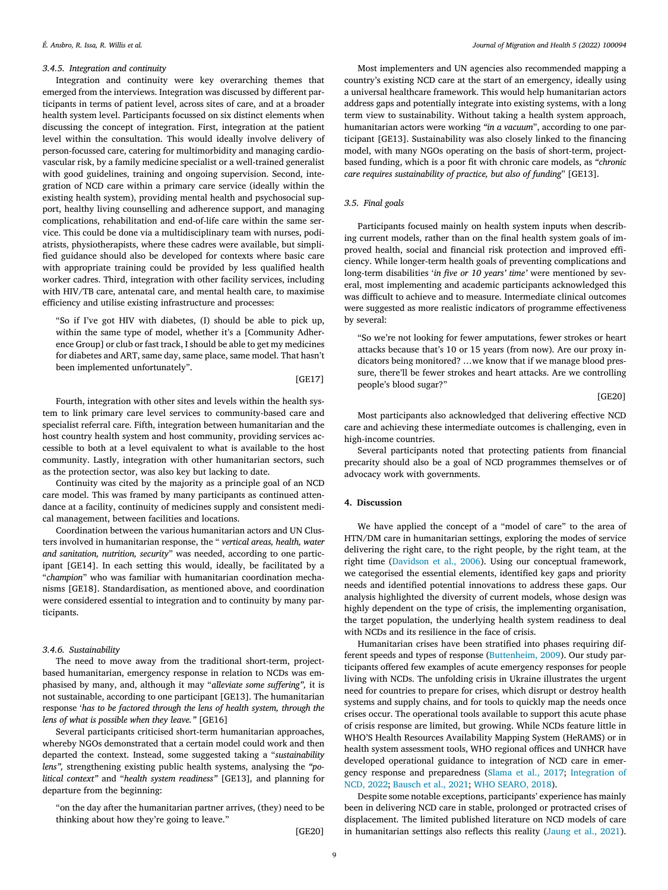## *3.4.5. Integration and continuity*

Integration and continuity were key overarching themes that emerged from the interviews. Integration was discussed by different participants in terms of patient level, across sites of care, and at a broader health system level. Participants focussed on six distinct elements when discussing the concept of integration. First, integration at the patient level within the consultation. This would ideally involve delivery of person-focussed care, catering for multimorbidity and managing cardiovascular risk, by a family medicine specialist or a well-trained generalist with good guidelines, training and ongoing supervision. Second, integration of NCD care within a primary care service (ideally within the existing health system), providing mental health and psychosocial support, healthy living counselling and adherence support, and managing complications, rehabilitation and end-of-life care within the same service. This could be done via a multidisciplinary team with nurses, podiatrists, physiotherapists, where these cadres were available, but simplified guidance should also be developed for contexts where basic care with appropriate training could be provided by less qualified health worker cadres. Third, integration with other facility services, including with HIV/TB care, antenatal care, and mental health care, to maximise efficiency and utilise existing infrastructure and processes:

"So if I've got HIV with diabetes, (I) should be able to pick up, within the same type of model, whether it's a [Community Adherence Group] or club or fast track, I should be able to get my medicines for diabetes and ART, same day, same place, same model. That hasn't been implemented unfortunately".

[GE17]

Fourth, integration with other sites and levels within the health system to link primary care level services to community-based care and specialist referral care. Fifth, integration between humanitarian and the host country health system and host community, providing services accessible to both at a level equivalent to what is available to the host community. Lastly, integration with other humanitarian sectors, such as the protection sector, was also key but lacking to date.

Continuity was cited by the majority as a principle goal of an NCD care model. This was framed by many participants as continued attendance at a facility, continuity of medicines supply and consistent medical management, between facilities and locations.

Coordination between the various humanitarian actors and UN Clusters involved in humanitarian response, the " *vertical areas, health, water and sanitation, nutrition, security*" was needed, according to one participant [GE14]. In each setting this would, ideally, be facilitated by a "*champion*" who was familiar with humanitarian coordination mechanisms [GE18]. Standardisation, as mentioned above, and coordination were considered essential to integration and to continuity by many participants.

## *3.4.6. Sustainability*

The need to move away from the traditional short-term, projectbased humanitarian, emergency response in relation to NCDs was emphasised by many, and, although it may "*alleviate some suffering",* it is not sustainable, according to one participant [GE13]. The humanitarian response '*has to be factored through the lens of health system, through the lens of what is possible when they leave."* [GE16]

Several participants criticised short-term humanitarian approaches, whereby NGOs demonstrated that a certain model could work and then departed the context. Instead, some suggested taking a "*sustainability lens",* strengthening existing public health systems, analysing the *"political context"* and "*health system readiness"* [GE13]*,* and planning for departure from the beginning:

"on the day after the humanitarian partner arrives, (they) need to be thinking about how they're going to leave."

[GE20]

Most implementers and UN agencies also recommended mapping a country's existing NCD care at the start of an emergency, ideally using a universal healthcare framework. This would help humanitarian actors address gaps and potentially integrate into existing systems, with a long term view to sustainability. Without taking a health system approach, humanitarian actors were working *"in a vacuum*", according to one participant [GE13]. Sustainability was also closely linked to the financing model, with many NGOs operating on the basis of short-term, projectbased funding, which is a poor fit with chronic care models, as *"chronic care requires sustainability of practice, but also of funding*" [GE13].

## *3.5. Final goals*

Participants focused mainly on health system inputs when describing current models, rather than on the final health system goals of improved health, social and financial risk protection and improved efficiency. While longer-term health goals of preventing complications and long-term disabilities '*in five or 10 years' time'* were mentioned by several, most implementing and academic participants acknowledged this was difficult to achieve and to measure. Intermediate clinical outcomes were suggested as more realistic indicators of programme effectiveness by several:

"So we're not looking for fewer amputations, fewer strokes or heart attacks because that's 10 or 15 years (from now). Are our proxy indicators being monitored? …we know that if we manage blood pressure, there'll be fewer strokes and heart attacks. Are we controlling people's blood sugar?"

[GE20]

Most participants also acknowledged that delivering effective NCD care and achieving these intermediate outcomes is challenging, even in high-income countries.

Several participants noted that protecting patients from financial precarity should also be a goal of NCD programmes themselves or of advocacy work with governments.

## **4. Discussion**

We have applied the concept of a "model of care" to the area of HTN/DM care in humanitarian settings, exploring the modes of service delivering the right care, to the right people, by the right team, at the right time [\(Davidson](#page-10-0) et al., 2006). Using our conceptual framework, we categorised the essential elements, identified key gaps and priority needs and identified potential innovations to address these gaps. Our analysis highlighted the diversity of current models, whose design was highly dependent on the type of crisis, the implementing organisation, the target population, the underlying health system readiness to deal with NCDs and its resilience in the face of crisis.

Humanitarian crises have been stratified into phases requiring different speeds and types of response [\(Buttenheim,](#page-10-0) 2009). Our study participants offered few examples of acute emergency responses for people living with NCDs. The unfolding crisis in Ukraine illustrates the urgent need for countries to prepare for crises, which disrupt or destroy health systems and supply chains, and for tools to quickly map the needs once crises occur. The operational tools available to support this acute phase of crisis response are limited, but growing. While NCDs feature little in WHO'S Health Resources Availability Mapping System (HeRAMS) or in health system assessment tools, WHO regional offices and UNHCR have developed operational guidance to integration of NCD care in emergency response and [preparedness](#page-11-0) [\(Slama](#page-11-0) et al., 2017; Integration of NCD, 2022; [Bausch](#page-10-0) et al., 2021; WHO [SEARO,](#page-11-0) 2018).

Despite some notable exceptions, participants' experience has mainly been in delivering NCD care in stable, prolonged or protracted crises of displacement. The limited published literature on NCD models of care in humanitarian settings also reflects this reality [\(Jaung](#page-11-0) et al., 2021).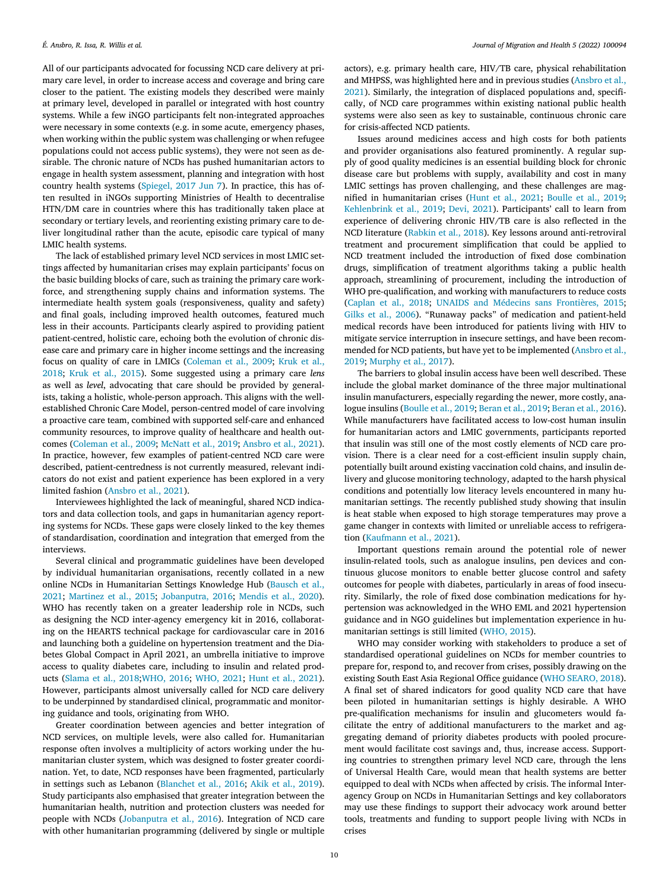All of our participants advocated for focussing NCD care delivery at primary care level, in order to increase access and coverage and bring care closer to the patient. The existing models they described were mainly at primary level, developed in parallel or integrated with host country systems. While a few iNGO participants felt non-integrated approaches were necessary in some contexts (e.g. in some acute, emergency phases, when working within the public system was challenging or when refugee populations could not access public systems), they were not seen as desirable. The chronic nature of NCDs has pushed humanitarian actors to engage in health system assessment, planning and integration with host country health systems [\(Spiegel,](#page-11-0) 2017 Jun 7). In practice, this has often resulted in iNGOs supporting Ministries of Health to decentralise HTN/DM care in countries where this has traditionally taken place at secondary or tertiary levels, and reorienting existing primary care to deliver longitudinal rather than the acute, episodic care typical of many LMIC health systems.

The lack of established primary level NCD services in most LMIC settings affected by humanitarian crises may explain participants' focus on the basic building blocks of care, such as training the primary care workforce, and strengthening supply chains and information systems. The intermediate health system goals (responsiveness, quality and safety) and final goals, including improved health outcomes, featured much less in their accounts. Participants clearly aspired to providing patient patient-centred, holistic care, echoing both the evolution of chronic disease care and primary care in higher income settings and the increasing focus on quality of care in LMICs [\(Coleman](#page-10-0) et al., 2009; Kruk et al., 2018; Kruk et al., [2015\)](#page-11-0). Some [suggested](#page-11-0) using a primary care *lens* as well as *level*, advocating that care should be provided by generalists, taking a holistic, whole-person approach. This aligns with the wellestablished Chronic Care Model, person-centred model of care involving a proactive care team, combined with supported self-care and enhanced community resources, to improve quality of healthcare and health outcomes [\(Coleman](#page-10-0) et al., 2009; [McNatt](#page-11-0) et al., 2019; [Ansbro](#page-10-0) et al., 2021). In practice, however, few examples of patient-centred NCD care were described, patient-centredness is not currently measured, relevant indicators do not exist and patient experience has been explored in a very limited fashion [\(Ansbro](#page-10-0) et al., 2021).

Interviewees highlighted the lack of meaningful, shared NCD indicators and data collection tools, and gaps in humanitarian agency reporting systems for NCDs. These gaps were closely linked to the key themes of standardisation, coordination and integration that emerged from the interviews.

Several clinical and programmatic guidelines have been developed by individual humanitarian organisations, recently collated in a new online NCDs in [Humanitarian](#page-10-0) Settings Knowledge Hub (Bausch et al., 2021; [Martinez](#page-11-0) et al., 2015; [Jobanputra,](#page-11-0) 2016; [Mendis](#page-11-0) et al., 2020). WHO has recently taken on a greater leadership role in NCDs, such as designing the NCD inter-agency emergency kit in 2016, collaborating on the HEARTS technical package for cardiovascular care in 2016 and launching both a guideline on hypertension treatment and the Diabetes Global Compact in April 2021, an umbrella initiative to improve access to quality diabetes care, including to insulin and related products [\(Slama](#page-11-0) et al., 2018[;WHO,](#page-11-0) 2016; [WHO,](#page-11-0) 2021; Hunt et al., [2021\)](#page-11-0). However, participants almost universally called for NCD care delivery to be underpinned by standardised clinical, programmatic and monitoring guidance and tools, originating from WHO.

Greater coordination between agencies and better integration of NCD services, on multiple levels, were also called for. Humanitarian response often involves a multiplicity of actors working under the humanitarian cluster system, which was designed to foster greater coordination. Yet, to date, NCD responses have been fragmented, particularly in settings such as Lebanon [\(Blanchet](#page-10-0) et al., 2016; Akik et al., [2019\)](#page-10-0). Study participants also emphasised that greater integration between the humanitarian health, nutrition and protection clusters was needed for people with NCDs [\(Jobanputra](#page-11-0) et al., 2016). Integration of NCD care with other humanitarian programming (delivered by single or multiple actors), e.g. primary health care, HIV/TB care, physical rehabilitation and MHPSS, was highlighted here and in previous studies (Ansbro et al., 2021). Similarly, the integration of displaced [populations](#page-10-0) and, specifically, of NCD care programmes within existing national public health systems were also seen as key to sustainable, continuous chronic care for crisis-affected NCD patients.

Issues around medicines access and high costs for both patients and provider organisations also featured prominently. A regular supply of good quality medicines is an essential building block for chronic disease care but problems with supply, availability and cost in many LMIC settings has proven challenging, and these challenges are magnified in humanitarian crises [\(Hunt](#page-11-0) et al., 2021; [Boulle](#page-10-0) et al., 2019; [Kehlenbrink](#page-11-0) et al., 2019; Devi, [2021\)](#page-10-0). Participants' call to learn from experience of delivering chronic HIV/TB care is also reflected in the NCD literature [\(Rabkin](#page-11-0) et al., 2018). Key lessons around anti-retroviral treatment and procurement simplification that could be applied to NCD treatment included the introduction of fixed dose combination drugs, simplification of treatment algorithms taking a public health approach, streamlining of procurement, including the introduction of WHO pre-qualification, and working with manufacturers to reduce costs [\(Caplan](#page-10-0) et al., 2018; UNAIDS and Médecins sans [Frontières,](#page-11-0) 2015; Gilks et al., [2006\)](#page-10-0). "Runaway packs" of medication and patient-held medical records have been introduced for patients living with HIV to mitigate service interruption in insecure settings, and have been recommended for NCD patients, but have yet to be [implemented](#page-10-0) (Ansbro et al., 2019; [Murphy](#page-11-0) et al., 2017).

The barriers to global insulin access have been well described. These include the global market dominance of the three major multinational insulin manufacturers, especially regarding the newer, more costly, analogue insulins [\(Boulle](#page-10-0) et al., 2019; [Beran](#page-10-0) et al., 2019; [Beran](#page-10-0) et al., 2016). While manufacturers have facilitated access to low-cost human insulin for humanitarian actors and LMIC governments, participants reported that insulin was still one of the most costly elements of NCD care provision. There is a clear need for a cost-efficient insulin supply chain, potentially built around existing vaccination cold chains, and insulin delivery and glucose monitoring technology, adapted to the harsh physical conditions and potentially low literacy levels encountered in many humanitarian settings. The recently published study showing that insulin is heat stable when exposed to high storage temperatures may prove a game changer in contexts with limited or unreliable access to refrigeration [\(Kaufmann](#page-11-0) et al., 2021).

Important questions remain around the potential role of newer insulin-related tools, such as analogue insulins, pen devices and continuous glucose monitors to enable better glucose control and safety outcomes for people with diabetes, particularly in areas of food insecurity. Similarly, the role of fixed dose combination medications for hypertension was acknowledged in the WHO EML and 2021 hypertension guidance and in NGO guidelines but implementation experience in humanitarian settings is still limited [\(WHO,](#page-11-0) 2015).

WHO may consider working with stakeholders to produce a set of standardised operational guidelines on NCDs for member countries to prepare for, respond to, and recover from crises, possibly drawing on the existing South East Asia Regional Office guidance (WHO [SEARO,](#page-11-0) 2018). A final set of shared indicators for good quality NCD care that have been piloted in humanitarian settings is highly desirable. A WHO pre-qualification mechanisms for insulin and glucometers would facilitate the entry of additional manufacturers to the market and aggregating demand of priority diabetes products with pooled procurement would facilitate cost savings and, thus, increase access. Supporting countries to strengthen primary level NCD care, through the lens of Universal Health Care, would mean that health systems are better equipped to deal with NCDs when affected by crisis. The informal Interagency Group on NCDs in Humanitarian Settings and key collaborators may use these findings to support their advocacy work around better tools, treatments and funding to support people living with NCDs in crises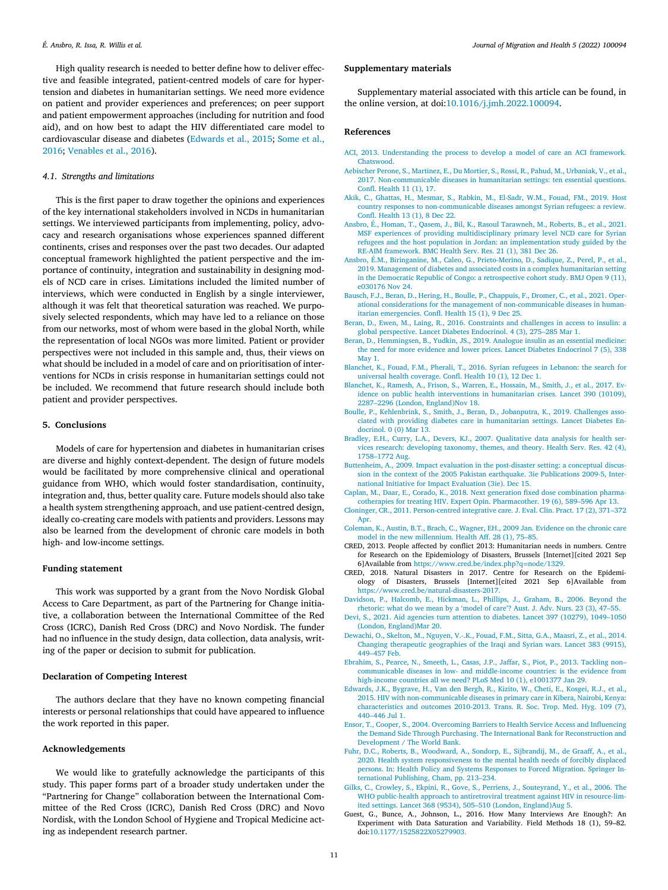<span id="page-10-0"></span>High quality research is needed to better define how to deliver effective and feasible integrated, patient-centred models of care for hypertension and diabetes in humanitarian settings. We need more evidence on patient and provider experiences and preferences; on peer support and patient empowerment approaches (including for nutrition and food aid), and on how best to adapt the HIV differentiated care model to [cardiovascular](#page-11-0) disease and diabetes (Edwards et al., 2015; Some et al., 2016; [Venables](#page-11-0) et al., 2016).

#### *4.1. Strengths and limitations*

This is the first paper to draw together the opinions and experiences of the key international stakeholders involved in NCDs in humanitarian settings. We interviewed participants from implementing, policy, advocacy and research organisations whose experiences spanned different continents, crises and responses over the past two decades. Our adapted conceptual framework highlighted the patient perspective and the importance of continuity, integration and sustainability in designing models of NCD care in crises. Limitations included the limited number of interviews, which were conducted in English by a single interviewer, although it was felt that theoretical saturation was reached. We purposively selected respondents, which may have led to a reliance on those from our networks, most of whom were based in the global North, while the representation of local NGOs was more limited. Patient or provider perspectives were not included in this sample and, thus, their views on what should be included in a model of care and on prioritisation of interventions for NCDs in crisis response in humanitarian settings could not be included. We recommend that future research should include both patient and provider perspectives.

## **5. Conclusions**

Models of care for hypertension and diabetes in humanitarian crises are diverse and highly context-dependent. The design of future models would be facilitated by more comprehensive clinical and operational guidance from WHO, which would foster standardisation, continuity, integration and, thus, better quality care. Future models should also take a health system strengthening approach, and use patient-centred design, ideally co-creating care models with patients and providers. Lessons may also be learned from the development of chronic care models in both high- and low-income settings.

#### **Funding statement**

This work was supported by a grant from the Novo Nordisk Global Access to Care Department, as part of the Partnering for Change initiative, a collaboration between the International Committee of the Red Cross (ICRC), Danish Red Cross (DRC) and Novo Nordisk. The funder had no influence in the study design, data collection, data analysis, writing of the paper or decision to submit for publication.

## **Declaration of Competing Interest**

The authors declare that they have no known competing financial interests or personal relationships that could have appeared to influence the work reported in this paper.

## **Acknowledgements**

We would like to gratefully acknowledge the participants of this study. This paper forms part of a broader study undertaken under the "Partnering for Change" collaboration between the International Committee of the Red Cross (ICRC), Danish Red Cross (DRC) and Novo Nordisk, with the London School of Hygiene and Tropical Medicine acting as independent research partner.

## **Supplementary materials**

Supplementary material associated with this article can be found, in the online version, at doi[:10.1016/j.jmh.2022.100094.](https://doi.org/10.1016/j.jmh.2022.100094)

## **References**

- ACI, 2013. [Understanding](http://refhub.elsevier.com/S2666-6235(22)00017-4/sbref0008) the process to develop a model of care an ACI framework. Chatswood.
- [Aebischer](http://refhub.elsevier.com/S2666-6235(22)00017-4/sbref0009) Perone, S., [Martinez,](http://refhub.elsevier.com/S2666-6235(22)00017-4/sbref0009) E., Du [Mortier,](http://refhub.elsevier.com/S2666-6235(22)00017-4/sbref0009) S., [Rossi,](http://refhub.elsevier.com/S2666-6235(22)00017-4/sbref0009) R., [Pahud,](http://refhub.elsevier.com/S2666-6235(22)00017-4/sbref0009) M., [Urbaniak,](http://refhub.elsevier.com/S2666-6235(22)00017-4/sbref0009) V., et [al.,](http://refhub.elsevier.com/S2666-6235(22)00017-4/sbref0009) 2017. [Non-communicable](http://refhub.elsevier.com/S2666-6235(22)00017-4/sbref0009) diseases in humanitarian settings: ten essential questions. Confl. Health 11 (1), 17.
- [Akik,](http://refhub.elsevier.com/S2666-6235(22)00017-4/sbref0010) C., [Ghattas,](http://refhub.elsevier.com/S2666-6235(22)00017-4/sbref0010) H., [Mesmar,](http://refhub.elsevier.com/S2666-6235(22)00017-4/sbref0010) S., [Rabkin,](http://refhub.elsevier.com/S2666-6235(22)00017-4/sbref0010) M., [El-Sadr,](http://refhub.elsevier.com/S2666-6235(22)00017-4/sbref0010) W.M., [Fouad,](http://refhub.elsevier.com/S2666-6235(22)00017-4/sbref0010) FM., 2019. Host country responses to [non-communicable](http://refhub.elsevier.com/S2666-6235(22)00017-4/sbref0010) diseases amongst Syrian refugees: a review. Confl. Health 13 (1), 8 Dec 22.
- [Ansbro,](http://refhub.elsevier.com/S2666-6235(22)00017-4/sbref0011) É., [Homan,](http://refhub.elsevier.com/S2666-6235(22)00017-4/sbref0011) T., [Qasem,](http://refhub.elsevier.com/S2666-6235(22)00017-4/sbref0011) J., [Bil,](http://refhub.elsevier.com/S2666-6235(22)00017-4/sbref0011) K., Rasoul [Tarawneh,](http://refhub.elsevier.com/S2666-6235(22)00017-4/sbref0011) M., [Roberts,](http://refhub.elsevier.com/S2666-6235(22)00017-4/sbref0011) B., et [al.,](http://refhub.elsevier.com/S2666-6235(22)00017-4/sbref0011) 2021. MSF experiences of providing [multidisciplinary](http://refhub.elsevier.com/S2666-6235(22)00017-4/sbref0011) primary level NCD care for Syrian refugees and the host population in Jordan: an implementation study guided by the RE-AIM framework. BMC Health Serv. Res. 21 (1), 381 Dec 26.
- [Ansbro,](http://refhub.elsevier.com/S2666-6235(22)00017-4/sbref0012) É.M., [Biringanine,](http://refhub.elsevier.com/S2666-6235(22)00017-4/sbref0012) M., [Caleo,](http://refhub.elsevier.com/S2666-6235(22)00017-4/sbref0012) G., [Prieto-Merino,](http://refhub.elsevier.com/S2666-6235(22)00017-4/sbref0012) D., [Sadique,](http://refhub.elsevier.com/S2666-6235(22)00017-4/sbref0012) Z., [Perel,](http://refhub.elsevier.com/S2666-6235(22)00017-4/sbref0012) P., et [al.,](http://refhub.elsevier.com/S2666-6235(22)00017-4/sbref0012) 2019. Management of diabetes and associated costs in a complex humanitarian setting in the Democratic Republic of Congo: a retrospective cohort study. BMJ Open 9 (11), e030176 Nov 24.
- [Bausch,](http://refhub.elsevier.com/S2666-6235(22)00017-4/sbref0013) F.J., [Beran,](http://refhub.elsevier.com/S2666-6235(22)00017-4/sbref0013) D., [Hering,](http://refhub.elsevier.com/S2666-6235(22)00017-4/sbref0013) H., [Boulle,](http://refhub.elsevier.com/S2666-6235(22)00017-4/sbref0013) P., [Chappuis,](http://refhub.elsevier.com/S2666-6235(22)00017-4/sbref0013) F., [Dromer,](http://refhub.elsevier.com/S2666-6235(22)00017-4/sbref0013) C., et [al.,](http://refhub.elsevier.com/S2666-6235(22)00017-4/sbref0013) 2021. Operational considerations for the management of [non-communicable](http://refhub.elsevier.com/S2666-6235(22)00017-4/sbref0013) diseases in humanitarian emergencies. Confl. Health 15 (1), 9 Dec 25.
- [Beran,](http://refhub.elsevier.com/S2666-6235(22)00017-4/sbref0014) D., [Ewen,](http://refhub.elsevier.com/S2666-6235(22)00017-4/sbref0014) M., [Laing,](http://refhub.elsevier.com/S2666-6235(22)00017-4/sbref0014) R., 2016. Constraints and challenges in access to insulin: a global [perspective.](http://refhub.elsevier.com/S2666-6235(22)00017-4/sbref0014) Lancet Diabetes Endocrinol. 4 (3), 275–285 Mar 1.
- [Beran,](http://refhub.elsevier.com/S2666-6235(22)00017-4/sbref0015) D., [Hemmingsen,](http://refhub.elsevier.com/S2666-6235(22)00017-4/sbref0015) B., [Yudkin,](http://refhub.elsevier.com/S2666-6235(22)00017-4/sbref0015) JS., 2019. Analogue insulin as an essential medicine: the need for more evidence and lower prices. Lancet Diabetes Endocrinol 7 (5), 338 May 1.
- [Blanchet,](http://refhub.elsevier.com/S2666-6235(22)00017-4/sbref0016) K., [Fouad,](http://refhub.elsevier.com/S2666-6235(22)00017-4/sbref0016) F.M., [Pherali,](http://refhub.elsevier.com/S2666-6235(22)00017-4/sbref0016) T., 2016. Syrian refugees in Lebanon: the search for universal health [coverage.](http://refhub.elsevier.com/S2666-6235(22)00017-4/sbref0016) Confl. Health 10 (1), 12 Dec 1.
- [Blanchet,](http://refhub.elsevier.com/S2666-6235(22)00017-4/sbref0017) K., [Ramesh,](http://refhub.elsevier.com/S2666-6235(22)00017-4/sbref0017) A., [Frison,](http://refhub.elsevier.com/S2666-6235(22)00017-4/sbref0017) S., [Warren,](http://refhub.elsevier.com/S2666-6235(22)00017-4/sbref0017) E., [Hossain,](http://refhub.elsevier.com/S2666-6235(22)00017-4/sbref0017) M., [Smith,](http://refhub.elsevier.com/S2666-6235(22)00017-4/sbref0017) J., et [al.,](http://refhub.elsevier.com/S2666-6235(22)00017-4/sbref0017) 2017. Evidence on public health interventions in [humanitarian](http://refhub.elsevier.com/S2666-6235(22)00017-4/sbref0017) crises. Lancet 390 (10109), 2287–2296 (London, England)Nov 18.
- [Boulle,](http://refhub.elsevier.com/S2666-6235(22)00017-4/sbref0018) P., [Kehlenbrink,](http://refhub.elsevier.com/S2666-6235(22)00017-4/sbref0018) S., [Smith,](http://refhub.elsevier.com/S2666-6235(22)00017-4/sbref0018) J., [Beran,](http://refhub.elsevier.com/S2666-6235(22)00017-4/sbref0018) D., [Jobanputra,](http://refhub.elsevier.com/S2666-6235(22)00017-4/sbref0018) K., 2019. Challenges associated with providing diabetes care in [humanitarian](http://refhub.elsevier.com/S2666-6235(22)00017-4/sbref0018) settings. Lancet Diabetes Endocrinol. 0 (0) Mar 13.
- [Bradley,](http://refhub.elsevier.com/S2666-6235(22)00017-4/sbref0019) E.H., [Curry,](http://refhub.elsevier.com/S2666-6235(22)00017-4/sbref0019) L.A., [Devers,](http://refhub.elsevier.com/S2666-6235(22)00017-4/sbref0019) KJ., 2007. Qualitative data analysis for health services research: developing taxonomy, themes, and theory. Health Serv. Res. 42 (4), [1758–1772](http://refhub.elsevier.com/S2666-6235(22)00017-4/sbref0019) Aug.
- [Buttenheim,](http://refhub.elsevier.com/S2666-6235(22)00017-4/sbref0020) A., 2009. Impact evaluation in the [post-disaster](http://refhub.elsevier.com/S2666-6235(22)00017-4/sbref0020) setting: a conceptual discussion in the context of the 2005 Pakistan earthquake. 3ie Publications 2009-5, International Initiative for Impact Evaluation (3ie). Dec 15.

[Caplan,](http://refhub.elsevier.com/S2666-6235(22)00017-4/sbref0021) M., [Daar,](http://refhub.elsevier.com/S2666-6235(22)00017-4/sbref0021) E., [Corado,](http://refhub.elsevier.com/S2666-6235(22)00017-4/sbref0021) K., 2018. Next generation fixed dose combination pharmacotherapies for treating HIV. Expert Opin. [Pharmacother.](http://refhub.elsevier.com/S2666-6235(22)00017-4/sbref0021) 19 (6), 589–596 Apr 13.

[Cloninger,](http://refhub.elsevier.com/S2666-6235(22)00017-4/sbref0022) CR., 2011. [Person-centred](http://refhub.elsevier.com/S2666-6235(22)00017-4/sbref0022) integrative care. J. Eval. Clin. Pract. 17 (2), 371–372 Apr.

- [Coleman,](http://refhub.elsevier.com/S2666-6235(22)00017-4/sbref0023) K., [Austin,](http://refhub.elsevier.com/S2666-6235(22)00017-4/sbref0023) B.T., [Brach,](http://refhub.elsevier.com/S2666-6235(22)00017-4/sbref0023) C., [Wagner,](http://refhub.elsevier.com/S2666-6235(22)00017-4/sbref0023) EH., 2009 Jan. Evidence on the chronic care model in the new [millennium.](http://refhub.elsevier.com/S2666-6235(22)00017-4/sbref0023) Health Aff. 28 (1), 75–85.
- CRED, 2013. People affected by conflict 2013: Humanitarian needs in numbers. Centre for Research on the Epidemiology of Disasters, Brussels [Internet][cited 2021 Sep 6]Available from [https://www.cred.be/index.php?q](https://www.cred.be/index.php?q=node/1329)=node/1329.
- CRED, 2018. Natural Disasters in 2017. Centre for Research on the Epidemiology of Disasters, Brussels [Internet][cited 2021 Sep 6]Available from [https://www.cred.be/natural-disasters-2017.](https://www.cred.be/natural-disasters-2017)
- [Davidson,](http://refhub.elsevier.com/S2666-6235(22)00017-4/sbref0024) P., [Halcomb,](http://refhub.elsevier.com/S2666-6235(22)00017-4/sbref0024) E., [Hickman,](http://refhub.elsevier.com/S2666-6235(22)00017-4/sbref0024) L., [Phillips,](http://refhub.elsevier.com/S2666-6235(22)00017-4/sbref0024) J., [Graham,](http://refhub.elsevier.com/S2666-6235(22)00017-4/sbref0024) B., 2006. Beyond the rhetoric: what do we mean by a 'model of care'? Aust. J. Adv. Nurs. 23 (3), 47–55.
- [Devi,](http://refhub.elsevier.com/S2666-6235(22)00017-4/sbref0025) S., 2021. Aid agencies turn attention to diabetes. Lancet 397 (10279), 1049–1050 (London, [England\)Mar](http://refhub.elsevier.com/S2666-6235(22)00017-4/sbref0025) 20.
- [Dewachi,](http://refhub.elsevier.com/S2666-6235(22)00017-4/sbref0026) O., [Skelton,](http://refhub.elsevier.com/S2666-6235(22)00017-4/sbref0026) M., [Nguyen,](http://refhub.elsevier.com/S2666-6235(22)00017-4/sbref0026) V.-.K., [Fouad,](http://refhub.elsevier.com/S2666-6235(22)00017-4/sbref0026) F.M., [Sitta,](http://refhub.elsevier.com/S2666-6235(22)00017-4/sbref0026) G.A., [Maasri,](http://refhub.elsevier.com/S2666-6235(22)00017-4/sbref0026) Z., et [al.,](http://refhub.elsevier.com/S2666-6235(22)00017-4/sbref0026) 2014. Changing therapeutic [geographies](http://refhub.elsevier.com/S2666-6235(22)00017-4/sbref0026) of the Iraqi and Syrian wars. Lancet 383 (9915), 449–457 Feb.
- [Ebrahim,](http://refhub.elsevier.com/S2666-6235(22)00017-4/sbref0027) S., [Pearce,](http://refhub.elsevier.com/S2666-6235(22)00017-4/sbref0027) N., [Smeeth,](http://refhub.elsevier.com/S2666-6235(22)00017-4/sbref0027) L., [Casas,](http://refhub.elsevier.com/S2666-6235(22)00017-4/sbref0027) J.P., [Jaffar,](http://refhub.elsevier.com/S2666-6235(22)00017-4/sbref0027) S., [Piot,](http://refhub.elsevier.com/S2666-6235(22)00017-4/sbref0027) P., 2013. Tackling non– communicable diseases in low- and [middle-income](http://refhub.elsevier.com/S2666-6235(22)00017-4/sbref0027) countries: is the evidence from high-income countries all we need? PLoS Med 10 (1), e1001377 Jan 29.
- [Edwards,](http://refhub.elsevier.com/S2666-6235(22)00017-4/sbref0028) J.K., [Bygrave,](http://refhub.elsevier.com/S2666-6235(22)00017-4/sbref0028) H., Van den [Bergh,](http://refhub.elsevier.com/S2666-6235(22)00017-4/sbref0028) R., [Kizito,](http://refhub.elsevier.com/S2666-6235(22)00017-4/sbref0028) W., [Cheti,](http://refhub.elsevier.com/S2666-6235(22)00017-4/sbref0028) E., [Kosgei,](http://refhub.elsevier.com/S2666-6235(22)00017-4/sbref0028) R.J., et [al.,](http://refhub.elsevier.com/S2666-6235(22)00017-4/sbref0028) 2015. HIV with [non-communicable](http://refhub.elsevier.com/S2666-6235(22)00017-4/sbref0028) diseases in primary care in Kibera, Nairobi, Kenya: characteristics and outcomes 2010-2013. Trans. R. Soc. Trop. Med. Hyg. 109 (7), 440–446 Jul 1.
- [Ensor,](http://refhub.elsevier.com/S2666-6235(22)00017-4/sbref0029) T., [Cooper,](http://refhub.elsevier.com/S2666-6235(22)00017-4/sbref0029) S., 2004. Overcoming Barriers to Health Service Access and Influencing the Demand Side Through Purchasing. The International Bank for [Reconstruction](http://refhub.elsevier.com/S2666-6235(22)00017-4/sbref0029) and Development / The World Bank.
- [Fuhr,](http://refhub.elsevier.com/S2666-6235(22)00017-4/sbref0030) D.C., [Roberts,](http://refhub.elsevier.com/S2666-6235(22)00017-4/sbref0030) B., [Woodward,](http://refhub.elsevier.com/S2666-6235(22)00017-4/sbref0030) A., [Sondorp,](http://refhub.elsevier.com/S2666-6235(22)00017-4/sbref0030) E., [Sijbrandij,](http://refhub.elsevier.com/S2666-6235(22)00017-4/sbref0030) M., de [Graaff,](http://refhub.elsevier.com/S2666-6235(22)00017-4/sbref0030) A., et [al.,](http://refhub.elsevier.com/S2666-6235(22)00017-4/sbref0030) 2020. Health system [responsiveness](http://refhub.elsevier.com/S2666-6235(22)00017-4/sbref0030) to the mental health needs of forcibly displaced persons. In: Health Policy and Systems Responses to Forced Migration. Springer International Publishing, Cham, pp. 213–234.
- [Gilks,](http://refhub.elsevier.com/S2666-6235(22)00017-4/sbref0031) C., [Crowley,](http://refhub.elsevier.com/S2666-6235(22)00017-4/sbref0031) S., [Ekpini,](http://refhub.elsevier.com/S2666-6235(22)00017-4/sbref0031) R., [Gove,](http://refhub.elsevier.com/S2666-6235(22)00017-4/sbref0031) S., [Perriens,](http://refhub.elsevier.com/S2666-6235(22)00017-4/sbref0031) J., [Souteyrand,](http://refhub.elsevier.com/S2666-6235(22)00017-4/sbref0031) Y., et [al.,](http://refhub.elsevier.com/S2666-6235(22)00017-4/sbref0031) 2006. The WHO public-health approach to [antiretroviral](http://refhub.elsevier.com/S2666-6235(22)00017-4/sbref0031) treatment against HIV in resource-limited settings. Lancet 368 (9534), 505–510 (London, England)Aug 5.
- Guest, G., Bunce, A., Johnson, L., 2016. How Many Interviews Are Enough?: An Experiment with Data Saturation and Variability. Field Methods 18 (1), 59–82. doi[:10.1177/1525822X05279903.](https://doi.org/10.1177/1525822X05279903)